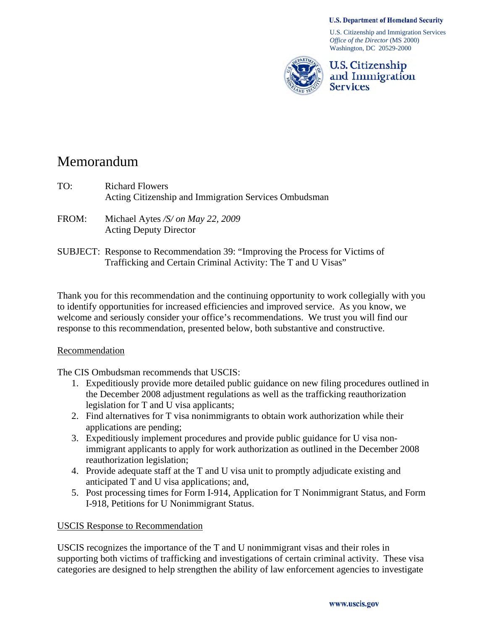#### **U.S. Department of Homeland Security**

U.S. Citizenship and Immigration Services *Office of the Director* (MS 2000) Washington, DC 20529-2000



**U.S. Citizenship** and Immigration **Services** 

# Memorandum

- TO: Richard Flowers Acting Citizenship and Immigration Services Ombudsman
- FROM: Michael Aytes */S/ on May 22, 2009*  Acting Deputy Director
- SUBJECT: Response to Recommendation 39: "Improving the Process for Victims of Trafficking and Certain Criminal Activity: The T and U Visas"

Thank you for this recommendation and the continuing opportunity to work collegially with you to identify opportunities for increased efficiencies and improved service. As you know, we welcome and seriously consider your office's recommendations. We trust you will find our response to this recommendation, presented below, both substantive and constructive.

#### Recommendation

The CIS Ombudsman recommends that USCIS:

- 1. Expeditiously provide more detailed public guidance on new filing procedures outlined in the December 2008 adjustment regulations as well as the trafficking reauthorization legislation for T and U visa applicants;
- 2. Find alternatives for T visa nonimmigrants to obtain work authorization while their applications are pending;
- 3. Expeditiously implement procedures and provide public guidance for U visa nonimmigrant applicants to apply for work authorization as outlined in the December 2008 reauthorization legislation;
- 4. Provide adequate staff at the T and U visa unit to promptly adjudicate existing and anticipated T and U visa applications; and,
- 5. Post processing times for Form I-914, Application for T Nonimmigrant Status, and Form I-918, Petitions for U Nonimmigrant Status.

#### USCIS Response to Recommendation

USCIS recognizes the importance of the T and U nonimmigrant visas and their roles in supporting both victims of trafficking and investigations of certain criminal activity. These visa categories are designed to help strengthen the ability of law enforcement agencies to investigate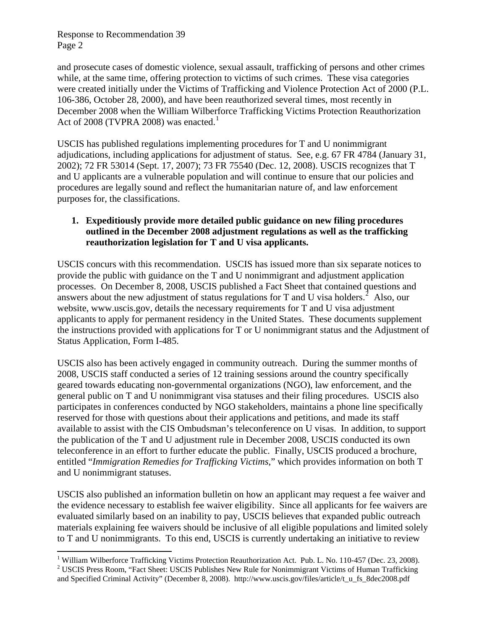and prosecute cases of domestic violence, sexual assault, trafficking of persons and other crimes while, at the same time, offering protection to victims of such crimes. These visa categories were created initially under the Victims of Trafficking and Violence Protection Act of 2000 (P.L. 106-386, October 28, 2000), and have been reauthorized several times, most recently in December 2008 when the William Wilberforce Trafficking Victims Protection Reauthorization Act of 2008 (TVPRA 2008) was enacted.<sup>[1](#page-1-0)</sup>

USCIS has published regulations implementing procedures for T and U nonimmigrant adjudications, including applications for adjustment of status. See, e.g. 67 FR 4784 (January 31, 2002); 72 FR 53014 (Sept. 17, 2007); 73 FR 75540 (Dec. 12, 2008). USCIS recognizes that T and U applicants are a vulnerable population and will continue to ensure that our policies and procedures are legally sound and reflect the humanitarian nature of, and law enforcement purposes for, the classifications.

### **1. Expeditiously provide more detailed public guidance on new filing procedures outlined in the December 2008 adjustment regulations as well as the trafficking reauthorization legislation for T and U visa applicants.**

USCIS concurs with this recommendation. USCIS has issued more than six separate notices to provide the public with guidance on the T and U nonimmigrant and adjustment application processes. On December 8, 2008, USCIS published a Fact Sheet that contained questions and answers about the new adjustment of status regulations for T and U visa holders.<sup>[2](#page-1-1)</sup> Also, our website, www.uscis.gov, details the necessary requirements for T and U visa adjustment applicants to apply for permanent residency in the United States. These documents supplement the instructions provided with applications for T or U nonimmigrant status and the Adjustment of Status Application, Form I-485.

USCIS also has been actively engaged in community outreach. During the summer months of 2008, USCIS staff conducted a series of 12 training sessions around the country specifically geared towards educating non-governmental organizations (NGO), law enforcement, and the general public on T and U nonimmigrant visa statuses and their filing procedures. USCIS also participates in conferences conducted by NGO stakeholders, maintains a phone line specifically reserved for those with questions about their applications and petitions, and made its staff available to assist with the CIS Ombudsman's teleconference on U visas. In addition, to support the publication of the T and U adjustment rule in December 2008, USCIS conducted its own teleconference in an effort to further educate the public. Finally, USCIS produced a brochure, entitled "*Immigration Remedies for Trafficking Victims*," which provides information on both T and U nonimmigrant statuses.

USCIS also published an information bulletin on how an applicant may request a fee waiver and the evidence necessary to establish fee waiver eligibility. Since all applicants for fee waivers are evaluated similarly based on an inability to pay, USCIS believes that expanded public outreach materials explaining fee waivers should be inclusive of all eligible populations and limited solely to T and U nonimmigrants. To this end, USCIS is currently undertaking an initiative to review

 $\overline{a}$ <sup>1</sup> William Wilberforce Trafficking Victims Protection Reauthorization Act. Pub. L. No. 110-457 (Dec. 23, 2008). <sup>2</sup> USCIS Press Reason "Foot Shoot: USCIS Publishes Naw Puls for Novimmigrant Victims of Uyman Trafficking.

<span id="page-1-1"></span><span id="page-1-0"></span><sup>&</sup>lt;sup>2</sup> USCIS Press Room, "Fact Sheet: USCIS Publishes New Rule for Nonimmigrant Victims of Human Trafficking and Specified Criminal Activity" (December 8, 2008). http://www.uscis.gov/files/article/t\_u\_fs\_8dec2008.pdf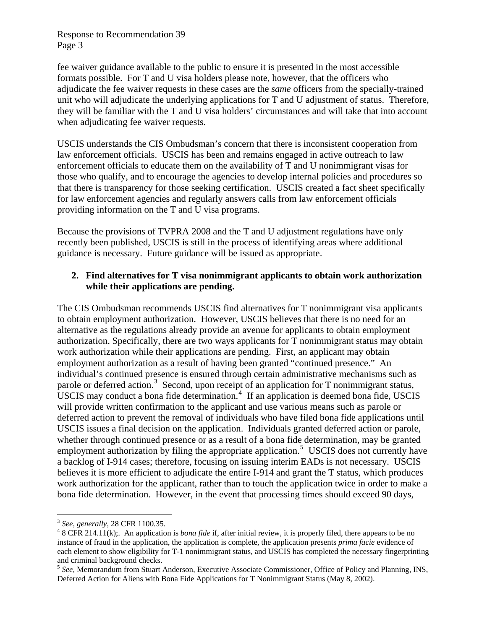Response to Recommendation 39 Page 3

fee waiver guidance available to the public to ensure it is presented in the most accessible formats possible. For T and U visa holders please note, however, that the officers who adjudicate the fee waiver requests in these cases are the *same* officers from the specially-trained unit who will adjudicate the underlying applications for T and U adjustment of status. Therefore, they will be familiar with the T and U visa holders' circumstances and will take that into account when adjudicating fee waiver requests.

USCIS understands the CIS Ombudsman's concern that there is inconsistent cooperation from law enforcement officials. USCIS has been and remains engaged in active outreach to law enforcement officials to educate them on the availability of T and U nonimmigrant visas for those who qualify, and to encourage the agencies to develop internal policies and procedures so that there is transparency for those seeking certification. USCIS created a fact sheet specifically for law enforcement agencies and regularly answers calls from law enforcement officials providing information on the T and U visa programs.

Because the provisions of TVPRA 2008 and the T and U adjustment regulations have only recently been published, USCIS is still in the process of identifying areas where additional guidance is necessary. Future guidance will be issued as appropriate.

### **2. Find alternatives for T visa nonimmigrant applicants to obtain work authorization while their applications are pending.**

The CIS Ombudsman recommends USCIS find alternatives for T nonimmigrant visa applicants to obtain employment authorization. However, USCIS believes that there is no need for an alternative as the regulations already provide an avenue for applicants to obtain employment authorization. Specifically, there are two ways applicants for T nonimmigrant status may obtain work authorization while their applications are pending. First, an applicant may obtain employment authorization as a result of having been granted "continued presence." An individual's continued presence is ensured through certain administrative mechanisms such as parole or deferred action.<sup>[3](#page-2-0)</sup> Second, upon receipt of an application for T nonimmigrant status, USCIS may conduct a bona fide determination. $4$  If an application is deemed bona fide, USCIS will provide written confirmation to the applicant and use various means such as parole or deferred action to prevent the removal of individuals who have filed bona fide applications until USCIS issues a final decision on the application. Individuals granted deferred action or parole, whether through continued presence or as a result of a bona fide determination, may be granted employment authorization by filing the appropriate application.<sup>[5](#page-2-2)</sup> USCIS does not currently have a backlog of I-914 cases; therefore, focusing on issuing interim EADs is not necessary. USCIS believes it is more efficient to adjudicate the entire I-914 and grant the T status, which produces work authorization for the applicant, rather than to touch the application twice in order to make a bona fide determination. However, in the event that processing times should exceed 90 days,

 $\overline{a}$ 

<sup>3</sup> *See, generally,* 28 CFR 1100.35. 4

<span id="page-2-1"></span><span id="page-2-0"></span> <sup>8</sup> CFR 214.11(k);. An application is *bona fide* if, after initial review, it is properly filed, there appears to be no instance of fraud in the application, the application is complete, the application presents *prima facie* evidence of each element to show eligibility for T-1 nonimmigrant status, and USCIS has completed the necessary fingerprinting and criminal background checks. 5 *See,* Memorandum from Stuart Anderson, Executive Associate Commissioner, Office of Policy and Planning, INS,

<span id="page-2-2"></span>Deferred Action for Aliens with Bona Fide Applications for T Nonimmigrant Status (May 8, 2002).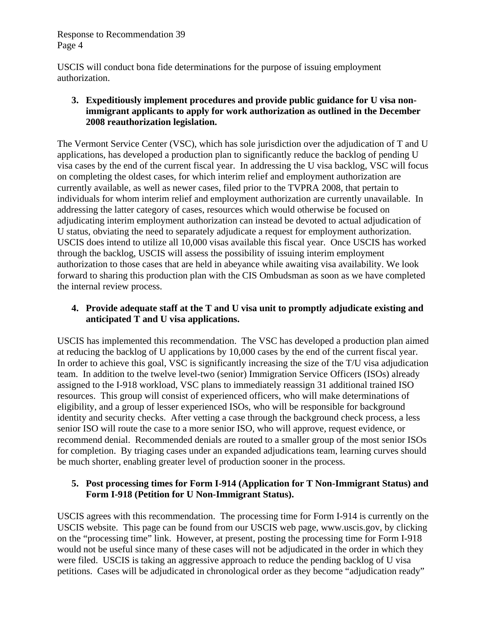Response to Recommendation 39 Page 4

USCIS will conduct bona fide determinations for the purpose of issuing employment authorization.

### **3. Expeditiously implement procedures and provide public guidance for U visa nonimmigrant applicants to apply for work authorization as outlined in the December 2008 reauthorization legislation.**

The Vermont Service Center (VSC), which has sole jurisdiction over the adjudication of T and U applications, has developed a production plan to significantly reduce the backlog of pending U visa cases by the end of the current fiscal year. In addressing the U visa backlog, VSC will focus on completing the oldest cases, for which interim relief and employment authorization are currently available, as well as newer cases, filed prior to the TVPRA 2008, that pertain to individuals for whom interim relief and employment authorization are currently unavailable. In addressing the latter category of cases, resources which would otherwise be focused on adjudicating interim employment authorization can instead be devoted to actual adjudication of U status, obviating the need to separately adjudicate a request for employment authorization. USCIS does intend to utilize all 10,000 visas available this fiscal year. Once USCIS has worked through the backlog, USCIS will assess the possibility of issuing interim employment authorization to those cases that are held in abeyance while awaiting visa availability. We look forward to sharing this production plan with the CIS Ombudsman as soon as we have completed the internal review process.

# **4. Provide adequate staff at the T and U visa unit to promptly adjudicate existing and anticipated T and U visa applications.**

USCIS has implemented this recommendation. The VSC has developed a production plan aimed at reducing the backlog of U applications by 10,000 cases by the end of the current fiscal year. In order to achieve this goal, VSC is significantly increasing the size of the T/U visa adjudication team. In addition to the twelve level-two (senior) Immigration Service Officers (ISOs) already assigned to the I-918 workload, VSC plans to immediately reassign 31 additional trained ISO resources. This group will consist of experienced officers, who will make determinations of eligibility, and a group of lesser experienced ISOs, who will be responsible for background identity and security checks. After vetting a case through the background check process, a less senior ISO will route the case to a more senior ISO, who will approve, request evidence, or recommend denial. Recommended denials are routed to a smaller group of the most senior ISOs for completion. By triaging cases under an expanded adjudications team, learning curves should be much shorter, enabling greater level of production sooner in the process.

# **5. Post processing times for Form I-914 (Application for T Non-Immigrant Status) and Form I-918 (Petition for U Non-Immigrant Status).**

USCIS agrees with this recommendation. The processing time for Form I-914 is currently on the USCIS website. This page can be found from our USCIS web page, www.uscis.gov, by clicking on the "processing time" link. However, at present, posting the processing time for Form I-918 would not be useful since many of these cases will not be adjudicated in the order in which they were filed. USCIS is taking an aggressive approach to reduce the pending backlog of U visa petitions. Cases will be adjudicated in chronological order as they become "adjudication ready"